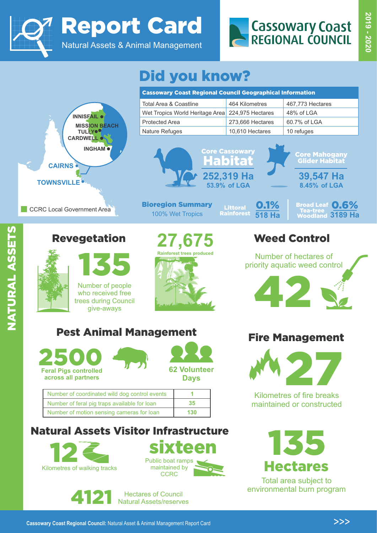

Report Card

Natural Assets & Animal Management



# Did you know?